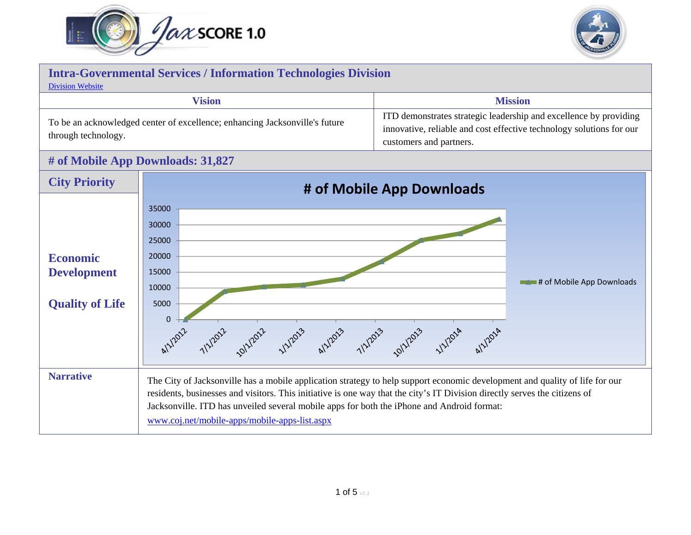



## **Intra-Governmental Services / Information Technologies Division** [Division Website](http://www.coj.net/departments/intra-governmental-services/information-technologies.aspx) **Vision Mission** To be an acknowledged center of excellence; enhancing Jacksonville's future through technology. ITD demonstrates strategic leadership and excellence by providing innovative, reliable and cost effective technology solutions for our customers and partners. **# of Mobile App Downloads: 31,827 City Priority # of Mobile App Downloads**

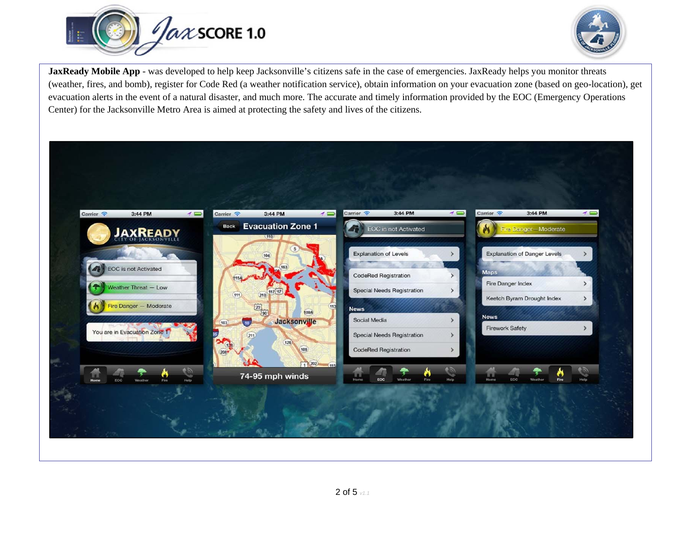



**JaxReady Mobile App** - was developed to help keep Jacksonville's citizens safe in the case of emergencies. JaxReady helps you monitor threats (weather, fires, and bomb), register for Code Red (a weather notification service), obtain information on your evacuation zone (based on geo-location), get evacuation alerts in the event of a natural disaster, and much more. The accurate and timely information provided by the EOC (Emergency Operations Center) for the Jacksonville Metro Area is aimed at protecting the safety and lives of the citizens.

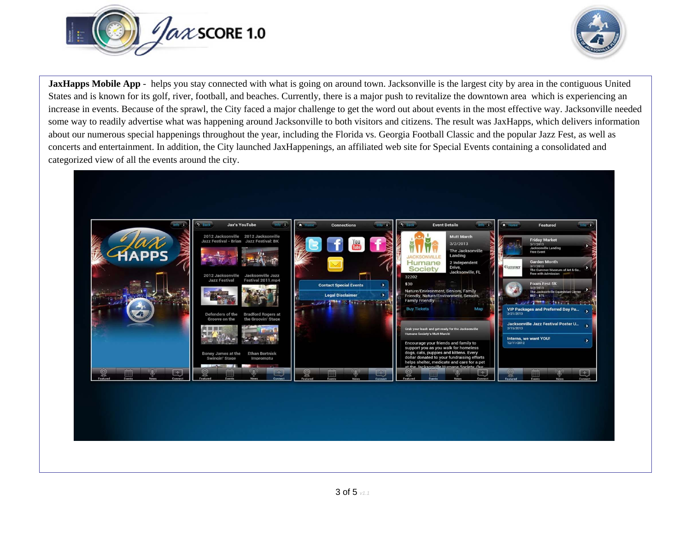



**JaxHapps Mobile App** - helps you stay connected with what is going on around town. Jacksonville is the largest city by area in the contiguous United States and is known for its golf, river, football, and beaches. Currently, there is a major push to revitalize the downtown area which is experiencing an increase in events. Because of the sprawl, the City faced a major challenge to get the word out about events in the most effective way. Jacksonville needed some way to readily advertise what was happening around Jacksonville to both visitors and citizens. The result was JaxHapps, which delivers information about our numerous special happenings throughout the year, including the Florida vs. Georgia Football Classic and the popular Jazz Fest, as well as concerts and entertainment. In addition, the City launched JaxHappenings, an affiliated web site for Special Events containing a consolidated and categorized view of all the events around the city.

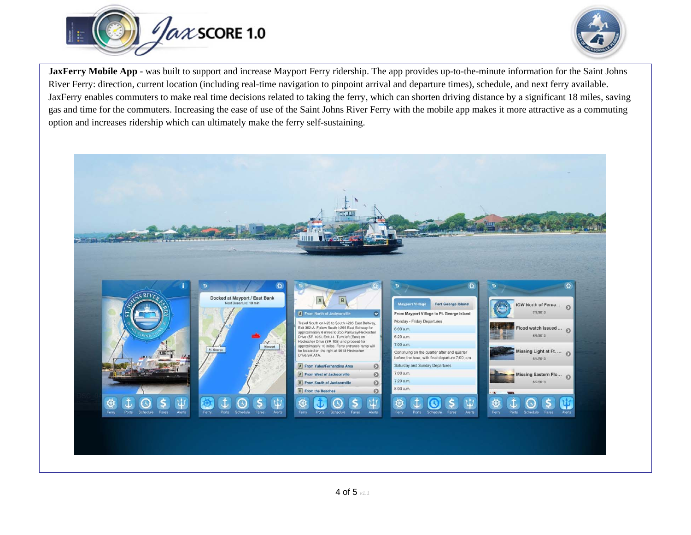



**JaxFerry Mobile App -** was built to support and increase Mayport Ferry ridership. The app provides up-to-the-minute information for the Saint Johns River Ferry: direction, current location (including real-time navigation to pinpoint arrival and departure times), schedule, and next ferry available. JaxFerry enables commuters to make real time decisions related to taking the ferry, which can shorten driving distance by a significant 18 miles, saving gas and time for the commuters. Increasing the ease of use of the Saint Johns River Ferry with the mobile app makes it more attractive as a commuting option and increases ridership which can ultimately make the ferry self-sustaining.